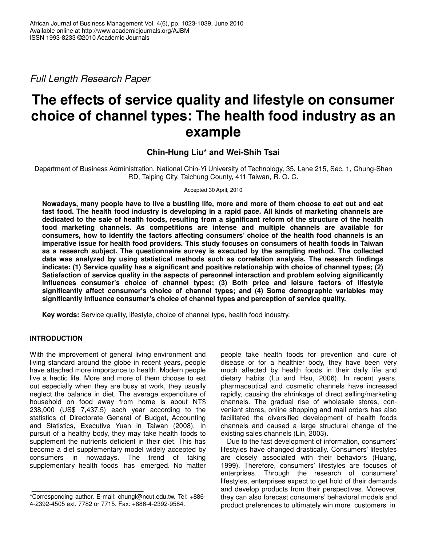*Full Length Research Paper*

# **The effects of service quality and lifestyle on consumer choice of channel types: The health food industry as an example**

# **Chin-Hung Liu\* and Wei-Shih Tsai**

Department of Business Administration, National Chin-Yi University of Technology, 35, Lane 215, Sec. 1, Chung-Shan RD, Taiping City, Taichung County, 411 Taiwan, R. O. C.

Accepted 30 April, 2010

Nowadays, many people have to live a bustling life, more and more of them choose to eat out and eat fast food. The health food industry is developing in a rapid pace. All kinds of marketing channels are dedicated to the sale of health foods, resulting from a significant reform of the structure of the health **food marketing channels. As competitions are intense and multiple channels are available for consumers, how to identify the factors affecting consumers' choice of the health food channels is an imperative issue for health food providers. This study focuses on consumers of health foods in Taiwan as a research subject. The questionnaire survey is executed by the sampling method. The collected data was analyzed by using statistical methods such as correlation analysis. The research findings indicate: (1) Service quality has a significant and positive relationship with choice of channel types; (2) Satisfaction of service quality in the aspects of personnel interaction and problem solving significantly influences consumer's choice of channel types; (3) Both price and leisure factors of lifestyle significantly affect consumer's choice of channel types; and (4) Some demographic variables may significantly influence consumer's choice of channel types and perception of service quality.**

**Key words:** Service quality, lifestyle, choice of channel type, health food industry.

## **INTRODUCTION**

With the improvement of general living environment and living standard around the globe in recent years, people have attached more importance to health. Modern people live a hectic life. More and more of them choose to eat out especially when they are busy at work, they usually neglect the balance in diet. The average expenditure of household on food away from home is about NT\$ 238,000 (US\$ 7,437.5) each year according to the statistics of Directorate General of Budget, Accounting and Statistics, Executive Yuan in Taiwan (2008). In pursuit of a healthy body, they may take health foods to supplement the nutrients deficient in their diet. This has become a diet supplementary model widely accepted by consumers in nowadays. The trend of taking supplementary health foods has emerged. No matter

people take health foods for prevention and cure of disease or for a healthier body, they have been very much affected by health foods in their daily life and dietary habits (Lu and Hsu, 2006). In recent years, pharmaceutical and cosmetic channels have increased rapidly, causing the shrinkage of direct selling/marketing channels. The gradual rise of wholesale stores, convenient stores, online shopping and mail orders has also facilitated the diversified development of health foods channels and caused a large structural change of the existing sales channels (Lin, 2003).

Due to the fast development of information, consumers' lifestyles have changed drastically. Consumers' lifestyles are closely associated with their behaviors (Huang, 1999). Therefore, consumers' lifestyles are focuses of enterprises. Through the research of consumers' lifestyles, enterprises expect to get hold of their demands and develop products from their perspectives. Moreover, they can also forecast consumers' behavioral models and product preferences to ultimately win more customers in

<sup>\*</sup>Corresponding author. E-mail: chungl@ncut.edu.tw. Tel: +886- 4-2392-4505 ext. 7782 or 7715. Fax: +886-4-2392-9584.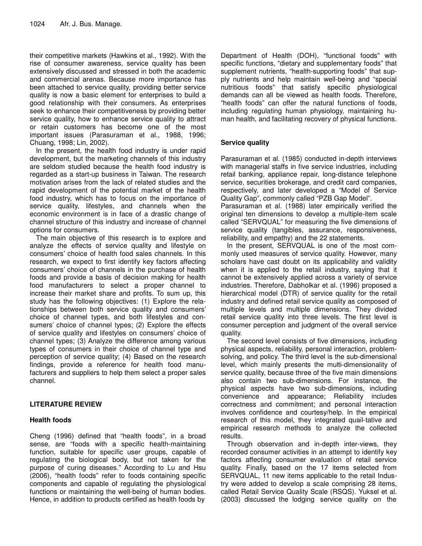their competitive markets (Hawkins et al., 1992). With the rise of consumer awareness, service quality has been extensively discussed and stressed in both the academic and commercial arenas. Because more importance has been attached to service quality, providing better service quality is now a basic element for enterprises to build a good relationship with their consumers. As enterprises seek to enhance their competitiveness by providing better service quality, how to enhance service quality to attract or retain customers has become one of the most important issues (Parasuraman et al., 1988, 1996; Chuang, 1998; Lin, 2002).

In the present, the health food industry is under rapid development, but the marketing channels of this industry are seldom studied because the health food industry is regarded as a start-up business in Taiwan. The research motivation arises from the lack of related studies and the rapid development of the potential market of the health food industry, which has to focus on the importance of service quality, lifestyles, and channels when the economic environment is in face of a drastic change of channel structure of this industry and increase of channel options for consumers.

The main objective of this research is to explore and analyze the effects of service quality and lifestyle on consumers' choice of health food sales channels. In this research, we expect to first identify key factors affecting consumers' choice of channels in the purchase of health foods and provide a basis of decision making for health food manufacturers to select a proper channel to increase their market share and profits. To sum up, this study has the following objectives: (1) Explore the relationships between both service quality and consumers' choice of channel types, and both lifestyles and consumers' choice of channel types; (2) Explore the effects of service quality and lifestyles on consumers' choice of channel types; (3) Analyze the difference among various types of consumers in their choice of channel type and perception of service quality; (4) Based on the research findings, provide a reference for health food manufacturers and suppliers to help them select a proper sales channel.

# **LITERATURE REVIEW**

# **Health foods**

Cheng (1996) defined that "health foods", in a broad sense, are "foods with a specific health-maintaining function, suitable for specific user groups, capable of regulating the biological body, but not taken for the purpose of curing diseases." According to Lu and Hsu (2006), "health foods" refer to foods containing specific components and capable of regulating the physiological functions or maintaining the well-being of human bodies. Hence, in addition to products certified as health foods by

Department of Health (DOH), "functional foods" with specific functions, "dietary and supplementary foods" that supplement nutrients, "health-supporting foods" that supply nutrients and help maintain well-being and "special nutritious foods" that satisfy specific physiological demands can all be viewed as health foods. Therefore, "health foods" can offer the natural functions of foods, including regulating human physiology, maintaining human health, and facilitating recovery of physical functions.

# **Service quality**

Parasuraman et al. (1985) conducted in-depth interviews with managerial staffs in five service industries, including retail banking, appliance repair, long-distance telephone service, securities brokerage, and credit card companies, respectively, and later developed a "Model of Service Quality Gap", commonly called "PZB Gap Model".

Parasuraman et al. (1988) later empirically verified the original ten dimensions to develop a multiple-item scale called "SERVQUAL" for measuring the five dimensions of service quality (tangibles, assurance, responsiveness, reliability, and empathy) and the 22 statements.

In the present, SERVQUAL is one of the most commonly used measures of service quality. However, many scholars have cast doubt on its applicability and validity when it is applied to the retail industry, saying that it cannot be extensively applied across a variety of service industries. Therefore, Dabholkar et al. (1996) proposed a hierarchical model (DTR) of service quality for the retail industry and defined retail service quality as composed of multiple levels and multiple dimensions. They divided retail service quality into three levels. The first level is consumer perception and judgment of the overall service quality.

The second level consists of five dimensions, including physical aspects, reliability, personal interaction, problemsolving, and policy. The third level is the sub-dimensional level, which mainly presents the multi-dimensionality of service quality, because three of the five main dimensions also contain two sub-dimensions. For instance, the physical aspects have two sub-dimensions, including convenience and appearance; Reliability includes correctness and commitment; and personal interaction involves confidence and courtesy/help. In the empirical research of this model, they integrated quail-tative and empirical research methods to analyze the collected results.

Through observation and in-depth inter-views, they recorded consumer activities in an attempt to identify key factors affecting consumer evaluation of retail service quality. Finally, based on the 17 items selected from SERVQUAL, 11 new items applicable to the retail Industry were added to develop a scale comprising 28 items, called Retail Service Quality Scale (RSQS). Yuksel et al. (2003) discussed the lodging service quality on the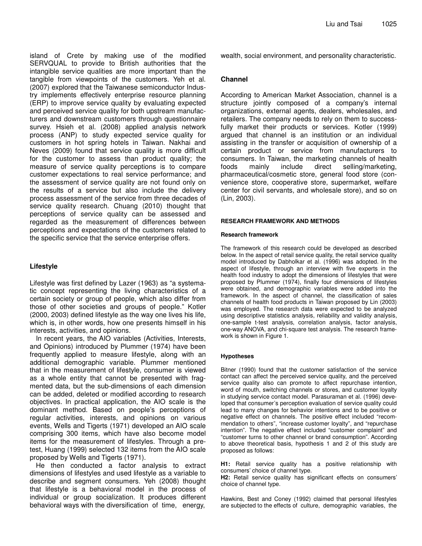island of Crete by making use of the modified SERVQUAL to provide to British authorities that the intangible service qualities are more important than the tangible from viewpoints of the customers. Yeh et al. (2007) explored that the Taiwanese semiconductor Industry implements effectively enterprise resource planning (ERP) to improve service quality by evaluating expected and perceived service quality for both upstream manufacturers and downstream customers through questionnaire survey. Hsieh et al. (2008) applied analysis network process (ANP) to study expected service quality for customers in hot spring hotels in Taiwan. Nakhai and Neves (2009) found that service quality is more difficult for the customer to assess than product quality; the measure of service quality perceptions is to compare customer expectations to real service performance; and the assessment of service quality are not found only on the results of a service but also include the delivery process assessment of the service from three decades of service quality research. Chuang (2010) thought that perceptions of service quality can be assessed and regarded as the measurement of differences between perceptions and expectations of the customers related to the specific service that the service enterprise offers.

# **Lifestyle**

Lifestyle was first defined by Lazer (1963) as "a systematic concept representing the living characteristics of a certain society or group of people, which also differ from those of other societies and groups of people." Kotler (2000, 2003) defined lifestyle as the way one lives his life, which is, in other words, how one presents himself in his interests, activities, and opinions.

In recent years, the AIO variables (Activities, Interests, and Opinions) introduced by Plummer (1974) have been frequently applied to measure lifestyle, along with an additional demographic variable. Plummer mentioned that in the measurement of lifestyle, consumer is viewed as a whole entity that cannot be presented with fragmented data, but the sub-dimensions of each dimension can be added, deleted or modified according to research objectives. In practical application, the AIO scale is the dominant method. Based on people's perceptions of regular activities, interests, and opinions on various events, Wells and Tigerts (1971) developed an AIO scale comprising 300 items, which have also become model items for the measurement of lifestyles. Through a pretest, Huang (1999) selected 132 items from the AIO scale proposed by Wells and Tigerts (1971).

He then conducted a factor analysis to extract dimensions of lifestyles and used lifestyle as a variable to describe and segment consumers. Yeh (2008) thought that lifestyle is a behavioral model in the process of individual or group socialization. It produces different behavioral ways with the diversification of time, energy,

wealth, social environment, and personality characteristic.

## **Channel**

According to American Market Association, channel is a structure jointly composed of a company's internal organizations, external agents, dealers, wholesales, and retailers. The company needs to rely on them to successfully market their products or services. Kotler (1999) argued that channel is an institution or an individual assisting in the transfer or acquisition of ownership of a certain product or service from manufacturers to consumers. In Taiwan, the marketing channels of health foods mainly include direct selling/marketing, pharmaceutical/cosmetic store, general food store (convenience store, cooperative store, supermarket, welfare center for civil servants, and wholesale store), and so on (Lin, 2003).

#### **RESEARCH FRAMEWORK AND METHODS**

#### **Research framework**

The framework of this research could be developed as described below. In the aspect of retail service quality, the retail service quality model introduced by Dabholkar et al. (1996) was adopted. In the aspect of lifestyle, through an interview with five experts in the health food industry to adopt the dimensions of lifestyles that were proposed by Plummer (1974), finally four dimensions of lifestyles were obtained, and demographic variables were added into the framework. In the aspect of channel, the classification of sales channels of health food products in Taiwan proposed by Lin (2003) was employed. The research data were expected to be analyzed using descriptive statistics analysis, reliability and validity analysis, one-sample t-test analysis, correlation analysis, factor analysis, one-way ANOVA, and chi-square test analysis. The research framework is shown in Figure 1.

#### **Hypotheses**

Bitner (1990) found that the customer satisfaction of the service contact can affect the perceived service quality, and the perceived service quality also can promote to affect repurchase intention, word of mouth, switching channels or stores, and customer loyalty in studying service contact model. Parasuraman et al. (1996) developed that consumer's perception evaluation of service quality could lead to many changes for behavior intentions and to be positive or negative effect on channels. The positive effect included "recommendation to others", "increase customer loyalty", and "repurchase intention". The negative effect included "customer complaint" and "customer turns to other channel or brand consumption". According to above theoretical basis, hypothesis 1 and 2 of this study are proposed as follows:

**H1:** Retail service quality has a positive relationship with consumers' choice of channel type.

**H2:** Retail service quality has significant effects on consumers' choice of channel type.

Hawkins, Best and Coney (1992) claimed that personal lifestyles are subjected to the effects of culture, demographic variables, the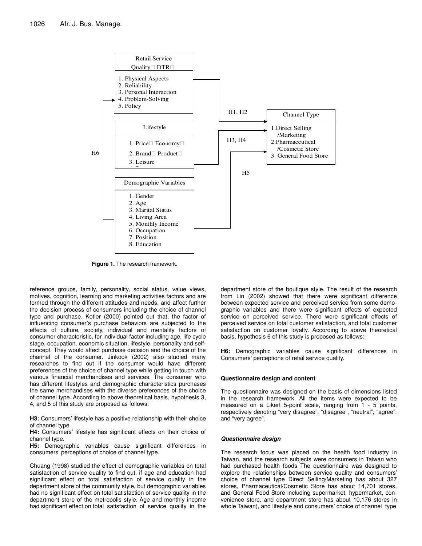

**Figure 1.** The research framework.

reference groups, family, personality, social status, value views, motives, cognition, learning and marketing activities factors and are formed through the different attitudes and needs, and affect further the decision process of consumers including the choice of channel type and purchase. Kotler (2000) pointed out that, the factor of influencing consumer's purchase behaviors are subjected to the effects of culture, society, individual and mentality factors of consumer characteristic, for individual factor including age, life cycle stage, occupation, economic situation, lifestyle, personality and selfconcept. They would affect purchase decision and the choice of the channel of the consumer. Jinkook (2002) also studied many researches to find out if the consumer would have different preferences of the choice of channel type while getting in touch with various financial merchandises and services. The consumer who has different lifestyles and demographic characteristics purchases the same merchandises with the diverse preferences of the choice of channel type. According to above theoretical basis, hypothesis 3, 4, and 5 of this study are proposed as follows:

**H3:** Consumers' lifestyle has a positive relationship with their choice of channel type.

**H4:** Consumers' lifestyle has significant effects on their choice of channel type.

**H5:** Demographic variables cause significant differences in consumers' perceptions of choice of channel type.

Chuang (1998) studied the effect of demographic variables on total satisfaction of service quality to find out, if age and education had significant effect on total satisfaction of service quality in the department store of the community style, but demographic variables had no significant effect on total satisfaction of service quality in the department store of the metropolis style. Age and monthly income had significant effect on total satisfaction of service quality in the

department store of the boutique style. The result of the research from Lin (2002) showed that there were significant difference between expected service and perceived service from some demographic variables and there were significant effects of expected service on perceived service. There were significant effects of perceived service on total customer satisfaction, and total customer satisfaction on customer loyalty. According to above theoretical basis, hypothesis 6 of this study is proposed as follows:

**H6:** Demographic variables cause significant differences in Consumers' perceptions of retail service quality.

#### **Questionnaire design and content**

The questionnaire was designed on the basis of dimensions listed in the research framework. All the items were expected to be measured on a Likert 5-point scale, ranging from 1 - 5 points, respectively denoting "very disagree", "disagree", "neutral", "agree", and "very agree".

#### *Questionnaire design*

The research focus was placed on the health food industry in Taiwan, and the research subjects were consumers in Taiwan who had purchased health foods The questionnaire was designed to explore the relationships between service quality and consumers' choice of channel type Direct Selling/Marketing has about 327 stores, Pharmaceutical/Cosmetic Store has about 14,701 stores, and General Food Store including supermarket, hypermarket, convenience store, and department store has about 10,176 stores in whole Taiwan), and lifestyle and consumers' choice of channel type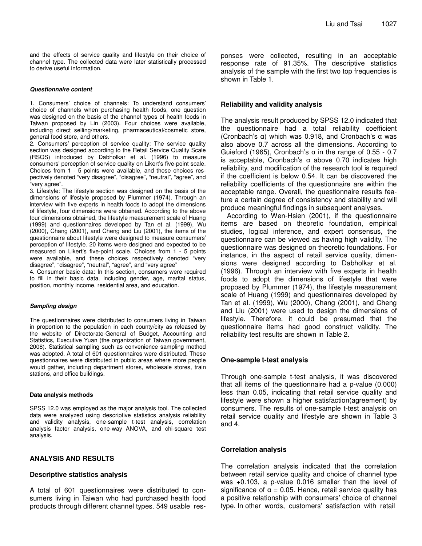and the effects of service quality and lifestyle on their choice of channel type. The collected data were later statistically processed to derive useful information.

#### *Questionnaire content*

1. Consumers' choice of channels: To understand consumers' choice of channels when purchasing health foods, one question was designed on the basis of the channel types of health foods in Taiwan proposed by Lin (2003). Four choices were available, including direct selling/marketing, pharmaceutical/cosmetic store, general food store, and others.

2. Consumers' perception of service quality: The service quality section was designed according to the Retail Service Quality Scale (RSQS) introduced by Dabholkar et al. (1996) to measure consumers' perception of service quality on Likert's five-point scale. Choices from 1 - 5 points were available, and these choices respectively denoted "very disagree", "disagree", "neutral", "agree", and "very agree".

3. Lifestyle: The lifestyle section was designed on the basis of the dimensions of lifestyle proposed by Plummer (1974). Through an interview with five experts in health foods to adopt the dimensions of lifestyle, four dimensions were obtained. According to the above four dimensions obtained, the lifestyle measurement scale of Huang (1999) and questionnaires developed by Tan et al. (1999), Wu (2000), Chang (2001), and Cheng and Liu (2001), the items of the questionnaire about lifestyle were designed to measure consumers' perception of lifestyle. 20 items were designed and expected to be measured on Likert's five-point scale. Choices from 1 - 5 points were available, and these choices respectively denoted "very disagree", "disagree", "neutral", "agree", and "very agree"

4. Consumer basic data: In this section, consumers were required to fill in their basic data, including gender, age, marital status, position, monthly income, residential area, and education.

#### *Sampling design*

The questionnaires were distributed to consumers living in Taiwan in proportion to the population in each county/city as released by the website of Directorate-General of Budget, Accounting and Statistics, Executive Yuan (the organization of Taiwan government, 2008). Statistical sampling such as convenience sampling method was adopted. A total of 601 questionnaires were distributed. These questionnaires were distributed in public areas where more people would gather, including department stores, wholesale stores, train stations, and office buildings.

#### **Data analysis methods**

SPSS 12.0 was employed as the major analysis tool. The collected data were analyzed using descriptive statistics analysis reliability and validity analysis, one-sample t-test analysis, correlation analysis factor analysis, one-way ANOVA, and chi-square test analysis.

#### **ANALYSIS AND RESULTS**

#### **Descriptive statistics analysis**

A total of 601 questionnaires were distributed to consumers living in Taiwan who had purchased health food products through different channel types. 549 usable responses were collected, resulting in an acceptable response rate of 91.35%. The descriptive statistics analysis of the sample with the first two top frequencies is shown in Table 1.

#### **Reliability and validity analysis**

The analysis result produced by SPSS 12.0 indicated that the questionnaire had a total reliability coefficient (Cronbach's  $\alpha$ ) which was 0.918, and Cronbach's  $\alpha$  was also above 0.7 across all the dimensions. According to Guieford (1965), Cronbach's  $\alpha$  in the range of 0.55 - 0.7 is acceptable, Cronbach's  $\alpha$  above 0.70 indicates high reliability, and modification of the research tool is required if the coefficient is below 0.54. It can be discovered the reliability coefficients of the questionnaire are within the acceptable range. Overall, the questionnaire results feature a certain degree of consistency and stability and will produce meaningful findings in subsequent analyses.

According to Wen-Hsien (2001), if the questionnaire items are based on theoretic foundation, empirical studies, logical inference, and expert consensus, the questionnaire can be viewed as having high validity. The questionnaire was designed on theoretic foundations. For instance, in the aspect of retail service quality, dimensions were designed according to Dabholkar et al. (1996). Through an interview with five experts in health foods to adopt the dimensions of lifestyle that were proposed by Plummer (1974), the lifestyle measurement scale of Huang (1999) and questionnaires developed by Tan et al. (1999), Wu (2000), Chang (2001), and Cheng and Liu (2001) were used to design the dimensions of lifestyle. Therefore, it could be presumed that the questionnaire items had good construct validity. The reliability test results are shown in Table 2.

#### **One-sample t-test analysis**

Through one-sample t-test analysis, it was discovered that all items of the questionnaire had a p-value (0.000) less than 0.05, indicating that retail service quality and lifestyle were shown a higher satisfaction(agreement) by consumers. The results of one-sample t-test analysis on retail service quality and lifestyle are shown in Table 3 and 4.

#### **Correlation analysis**

The correlation analysis indicated that the correlation between retail service quality and choice of channel type was +0.103, a p-value 0.016 smaller than the level of significance of  $\alpha$  = 0.05. Hence, retail service quality has a positive relationship with consumers' choice of channel type. In other words, customers' satisfaction with retail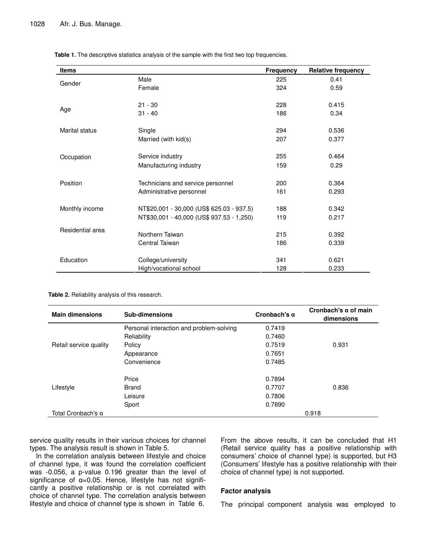| <b>Items</b>     |                                           | <b>Frequency</b> | <b>Relative frequency</b> |
|------------------|-------------------------------------------|------------------|---------------------------|
|                  | Male                                      | 225              | 0.41                      |
| Gender           | Female                                    | 324              | 0.59                      |
|                  | $21 - 30$                                 | 228              | 0.415                     |
| Age              | $31 - 40$                                 | 186              | 0.34                      |
| Marital status   | Single                                    | 294              | 0.536                     |
|                  | Married (with kid(s)                      | 207              | 0.377                     |
| Occupation       | Service industry                          | 255              | 0.464                     |
|                  | Manufacturing industry                    | 159              | 0.29                      |
| Position         | Technicians and service personnel         | 200              | 0.364                     |
|                  | Administrative personnel                  | 161              | 0.293                     |
| Monthly income   | NT\$20,001 - 30,000 (US\$ 625.03 - 937.5) | 188              | 0.342                     |
|                  | NT\$30,001 - 40,000 (US\$ 937.53 - 1,250) | 119              | 0.217                     |
| Residential area | Northern Taiwan                           | 215              | 0.392                     |
|                  | Central Taiwan                            | 186              | 0.339                     |
| Education        | College/university                        | 341              | 0.621                     |
|                  | High/vocational school                    | 128              | 0.233                     |

**Table 1.** The descriptive statistics analysis of the sample with the first two top frequencies.

| <b>Main dimensions</b> | <b>Sub-dimensions</b>                    | Cronbach's $\alpha$ | Cronbach's $\alpha$ of main<br>dimensions |
|------------------------|------------------------------------------|---------------------|-------------------------------------------|
|                        | Personal interaction and problem-solving | 0.7419              |                                           |
|                        | Reliability                              | 0.7460              |                                           |
| Retail service quality | Policy                                   | 0.7519              | 0.931                                     |
|                        | Appearance                               | 0.7651              |                                           |
|                        | Convenience                              | 0.7485              |                                           |
|                        | Price                                    | 0.7894              |                                           |
| Lifestyle              | <b>Brand</b>                             | 0.7707              | 0.836                                     |
|                        | Leisure                                  | 0.7806              |                                           |
|                        | Sport                                    | 0.7890              |                                           |
| Total Cronbach's α     |                                          |                     | 0.918                                     |

service quality results in their various choices for channel types. The analysis result is shown in Table 5.

In the correlation analysis between lifestyle and choice of channel type, it was found the correlation coefficient was -0.056, a p-value 0.196 greater than the level of significance of  $\alpha = 0.05$ . Hence, lifestyle has not significantly a positive relationship or is not correlated with choice of channel type. The correlation analysis between lifestyle and choice of channel type is shown in Table 6.

From the above results, it can be concluded that H1 (Retail service quality has a positive relationship with consumers' choice of channel type) is supported, but H3 (Consumers' lifestyle has a positive relationship with their choice of channel type) is not supported.

#### **Factor analysis**

The principal component analysis was employed to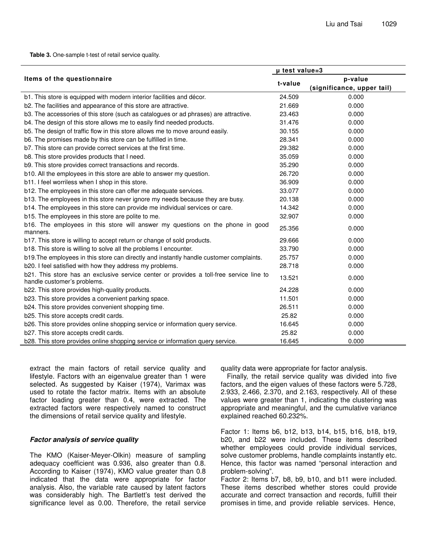**Table 3.** One-sample t-test of retail service quality.

|                                                                                                                        | µ test value=3 |                            |  |
|------------------------------------------------------------------------------------------------------------------------|----------------|----------------------------|--|
| Items of the questionnaire                                                                                             |                | p-value                    |  |
|                                                                                                                        | t-value        | (significance, upper tail) |  |
| b1. This store is equipped with modern interior facilities and décor.                                                  | 24.509         | 0.000                      |  |
| b2. The facilities and appearance of this store are attractive.                                                        | 21.669         | 0.000                      |  |
| b3. The accessories of this store (such as catalogues or ad phrases) are attractive.                                   | 23.463         | 0.000                      |  |
| b4. The design of this store allows me to easily find needed products.                                                 | 31.476         | 0.000                      |  |
| b5. The design of traffic flow in this store allows me to move around easily.                                          | 30.155         | 0.000                      |  |
| b6. The promises made by this store can be fulfilled in time.                                                          | 28.341         | 0.000                      |  |
| b7. This store can provide correct services at the first time.                                                         | 29.382         | 0.000                      |  |
| b8. This store provides products that I need.                                                                          | 35.059         | 0.000                      |  |
| b9. This store provides correct transactions and records.                                                              | 35.290         | 0.000                      |  |
| b10. All the employees in this store are able to answer my question.                                                   | 26.720         | 0.000                      |  |
| b11. I feel worriless when I shop in this store.                                                                       | 36.909         | 0.000                      |  |
| b12. The employees in this store can offer me adequate services.                                                       | 33.077         | 0.000                      |  |
| b13. The employees in this store never ignore my needs because they are busy.                                          | 20.138         | 0.000                      |  |
| b14. The employees in this store can provide me individual services or care.                                           | 14.342         | 0.000                      |  |
| b15. The employees in this store are polite to me.                                                                     | 32.907         | 0.000                      |  |
| b16. The employees in this store will answer my questions on the phone in good<br>manners.                             | 25.356         | 0.000                      |  |
| b17. This store is willing to accept return or change of sold products.                                                | 29.666         | 0.000                      |  |
| b18. This store is willing to solve all the problems I encounter.                                                      | 33.790         | 0.000                      |  |
| b19. The employees in this store can directly and instantly handle customer complaints.                                | 25.757         | 0.000                      |  |
| b20. I feel satisfied with how they address my problems.                                                               | 28.718         | 0.000                      |  |
| b21. This store has an exclusive service center or provides a toll-free service line to<br>handle customer's problems. | 13.521         | 0.000                      |  |
| b22. This store provides high-quality products.                                                                        | 24.228         | 0.000                      |  |
| b23. This store provides a convenient parking space.                                                                   | 11.501         | 0.000                      |  |
| b24. This store provides convenient shopping time.                                                                     | 26.511         | 0.000                      |  |
| b25. This store accepts credit cards.                                                                                  | 25.82          | 0.000                      |  |
| b26. This store provides online shopping service or information query service.                                         | 16.645         | 0.000                      |  |
| b27. This store accepts credit cards.                                                                                  | 25.82          | 0.000                      |  |
| b28. This store provides online shopping service or information query service.                                         | 16.645         | 0.000                      |  |

extract the main factors of retail service quality and lifestyle. Factors with an eigenvalue greater than 1 were selected. As suggested by Kaiser (1974), Varimax was used to rotate the factor matrix. Items with an absolute factor loading greater than 0.4, were extracted. The extracted factors were respectively named to construct the dimensions of retail service quality and lifestyle.

#### *Factor analysis of service quality*

The KMO (Kaiser-Meyer-Olkin) measure of sampling adequacy coefficient was 0.936, also greater than 0.8. According to Kaiser (1974), KMO value greater than 0.8 indicated that the data were appropriate for factor analysis. Also, the variable rate caused by latent factors was considerably high. The Bartlett's test derived the significance level as 0.00. Therefore, the retail service quality data were appropriate for factor analysis.

Finally, the retail service quality was divided into five factors, and the eigen values of these factors were 5.728, 2.933, 2.466, 2.370, and 2.163, respectively. All of these values were greater than 1, indicating the clustering was appropriate and meaningful, and the cumulative variance explained reached 60.232%.

Factor 1: Items b6, b12, b13, b14, b15, b16, b18, b19, b20, and b22 were included. These items described whether employees could provide individual services, solve customer problems, handle complaints instantly etc. Hence, this factor was named "personal interaction and problem-solving".

Factor 2: Items b7, b8, b9, b10, and b11 were included. These items described whether stores could provide accurate and correct transaction and records, fulfill their promises in time, and provide reliable services. Hence,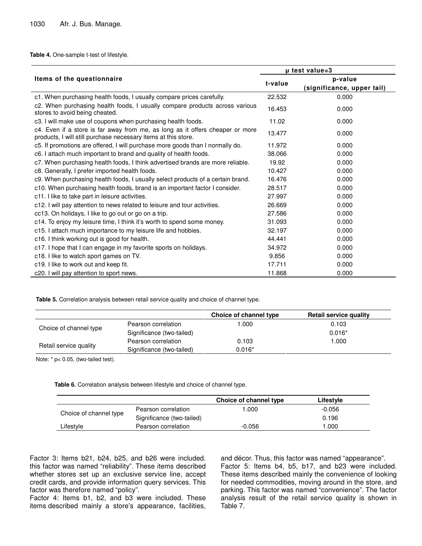**Table 4.** One-sample t-test of lifestyle.

|                                                                                                                                                 | µ test value=3 |                                       |  |
|-------------------------------------------------------------------------------------------------------------------------------------------------|----------------|---------------------------------------|--|
| Items of the questionnaire                                                                                                                      |                | p-value<br>(significance, upper tail) |  |
| c1. When purchasing health foods, I usually compare prices carefully.                                                                           | 22.532         | 0.000                                 |  |
| c2. When purchasing health foods, I usually compare products across various<br>stores to avoid being cheated.                                   | 16.453         | 0.000                                 |  |
| c3. I will make use of coupons when purchasing health foods.                                                                                    | 11.02          | 0.000                                 |  |
| c4. Even if a store is far away from me, as long as it offers cheaper or more<br>products, I will still purchase necessary items at this store. | 13.477         | 0.000                                 |  |
| c5. If promotions are offered, I will purchase more goods than I normally do.                                                                   | 11.972         | 0.000                                 |  |
| c6. I attach much important to brand and quality of health foods.                                                                               | 38.066         | 0.000                                 |  |
| c7. When purchasing health foods, I think advertised brands are more reliable.                                                                  | 19.92          | 0.000                                 |  |
| c8. Generally, I prefer imported health foods.                                                                                                  | 10.427         | 0.000                                 |  |
| c9. When purchasing health foods, I usually select products of a certain brand.                                                                 | 16.476         | 0.000                                 |  |
| c10. When purchasing health foods, brand is an important factor I consider.                                                                     | 28.517         | 0.000                                 |  |
| c11. I like to take part in leisure activities.                                                                                                 | 27.997         | 0.000                                 |  |
| c12. I will pay attention to news related to leisure and tour activities.                                                                       | 26.669         | 0.000                                 |  |
| cc13. On holidays, I like to go out or go on a trip.                                                                                            | 27.586         | 0.000                                 |  |
| c14. To enjoy my leisure time, I think it's worth to spend some money.                                                                          | 31.093         | 0.000                                 |  |
| c15. I attach much importance to my leisure life and hobbies.                                                                                   | 32.197         | 0.000                                 |  |
| c16. I think working out is good for health.                                                                                                    | 44.441         | 0.000                                 |  |
| c17. I hope that I can engage in my favorite sports on holidays.                                                                                | 34.972         | 0.000                                 |  |
| c18. I like to watch sport games on TV.                                                                                                         | 9.856          | 0.000                                 |  |
| c19. I like to work out and keep fit.                                                                                                           | 17.711         | 0.000                                 |  |
| c20. I will pay attention to sport news.                                                                                                        | 11.868         | 0.000                                 |  |

**Table 5.** Correlation analysis between retail service quality and choice of channel type.

|                        |                           | Choice of channel type | <b>Retail service quality</b> |
|------------------------|---------------------------|------------------------|-------------------------------|
|                        | Pearson correlation       | 000. ا                 | 0.103                         |
| Choice of channel type | Significance (two-tailed) |                        | $0.016*$                      |
|                        | Pearson correlation       | 0.103                  | 000. ا                        |
| Retail service quality | Significance (two-tailed) | $0.016*$               |                               |

Note: \* p< 0.05, (two-tailed test).

**Table 6.** Correlation analysis between lifestyle and choice of channel type.

|                        |                           | Choice of channel type | Lifestyle |
|------------------------|---------------------------|------------------------|-----------|
|                        | Pearson correlation       | .000                   | -0.056    |
| Choice of channel type | Significance (two-tailed) |                        | 0.196     |
| Lifestyle              | Pearson correlation       | $-0.056$               | 1.000     |

Factor 3: Items b21, b24, b25, and b26 were included. this factor was named "reliability". These items described whether stores set up an exclusive service line, accept credit cards, and provide information query services. This factor was therefore named "policy".

Factor 4: Items b1, b2, and b3 were included. These items described mainly a store's appearance, facilities, and décor. Thus, this factor was named "appearance". Factor 5: Items b4, b5, b17, and b23 were included. These items described mainly the convenience of looking for needed commodities, moving around in the store, and parking. This factor was named "convenience". The factor analysis result of the retail service quality is shown in Table 7.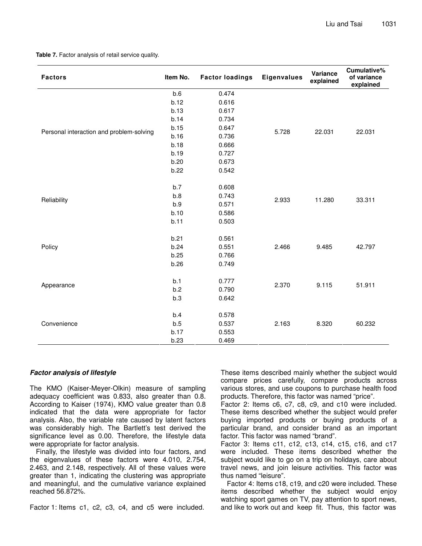**Table 7.** Factor analysis of retail service quality.

| b.6<br>0.474<br>b.12<br>0.616<br>b.13<br>0.617<br>b.14<br>0.734<br>b.15<br>0.647<br>Personal interaction and problem-solving<br>5.728<br>22.031<br>22.031<br>b.16<br>0.736<br>b.18<br>0.666<br>b.19<br>0.727<br>b.20<br>0.673<br>b.22<br>0.542<br>b.7<br>0.608<br>b.8<br>0.743<br>2.933<br>11.280<br>33.311<br>Reliability<br>b.9<br>0.571<br>b.10<br>0.586<br>b.11<br>0.503<br>b.21<br>0.561<br>b.24<br>0.551<br>2.466<br>Policy<br>9.485<br>42.797<br>b.25<br>0.766<br>b.26<br>0.749<br>b.1<br>0.777<br>2.370<br>9.115<br>51.911<br>Appearance<br>b.2<br>0.790<br>b.3<br>0.642<br>b.4<br>0.578<br>Convenience<br>b.5<br>0.537<br>2.163<br>8.320<br>60.232<br>b.17<br>0.553 | <b>Factors</b> | Item No. | <b>Factor loadings</b> | <b>Eigenvalues</b> | Variance<br>explained | Cumulative%<br>of variance<br>explained |
|------------------------------------------------------------------------------------------------------------------------------------------------------------------------------------------------------------------------------------------------------------------------------------------------------------------------------------------------------------------------------------------------------------------------------------------------------------------------------------------------------------------------------------------------------------------------------------------------------------------------------------------------------------------------------|----------------|----------|------------------------|--------------------|-----------------------|-----------------------------------------|
|                                                                                                                                                                                                                                                                                                                                                                                                                                                                                                                                                                                                                                                                              |                |          |                        |                    |                       |                                         |
|                                                                                                                                                                                                                                                                                                                                                                                                                                                                                                                                                                                                                                                                              |                |          |                        |                    |                       |                                         |
|                                                                                                                                                                                                                                                                                                                                                                                                                                                                                                                                                                                                                                                                              |                |          |                        |                    |                       |                                         |
|                                                                                                                                                                                                                                                                                                                                                                                                                                                                                                                                                                                                                                                                              |                |          |                        |                    |                       |                                         |
|                                                                                                                                                                                                                                                                                                                                                                                                                                                                                                                                                                                                                                                                              |                |          |                        |                    |                       |                                         |
|                                                                                                                                                                                                                                                                                                                                                                                                                                                                                                                                                                                                                                                                              |                |          |                        |                    |                       |                                         |
|                                                                                                                                                                                                                                                                                                                                                                                                                                                                                                                                                                                                                                                                              |                |          |                        |                    |                       |                                         |
|                                                                                                                                                                                                                                                                                                                                                                                                                                                                                                                                                                                                                                                                              |                |          |                        |                    |                       |                                         |
|                                                                                                                                                                                                                                                                                                                                                                                                                                                                                                                                                                                                                                                                              |                |          |                        |                    |                       |                                         |
|                                                                                                                                                                                                                                                                                                                                                                                                                                                                                                                                                                                                                                                                              |                |          |                        |                    |                       |                                         |
|                                                                                                                                                                                                                                                                                                                                                                                                                                                                                                                                                                                                                                                                              |                |          |                        |                    |                       |                                         |
|                                                                                                                                                                                                                                                                                                                                                                                                                                                                                                                                                                                                                                                                              |                |          |                        |                    |                       |                                         |
|                                                                                                                                                                                                                                                                                                                                                                                                                                                                                                                                                                                                                                                                              |                |          |                        |                    |                       |                                         |
|                                                                                                                                                                                                                                                                                                                                                                                                                                                                                                                                                                                                                                                                              |                |          |                        |                    |                       |                                         |
|                                                                                                                                                                                                                                                                                                                                                                                                                                                                                                                                                                                                                                                                              |                |          |                        |                    |                       |                                         |
|                                                                                                                                                                                                                                                                                                                                                                                                                                                                                                                                                                                                                                                                              |                |          |                        |                    |                       |                                         |
|                                                                                                                                                                                                                                                                                                                                                                                                                                                                                                                                                                                                                                                                              |                |          |                        |                    |                       |                                         |
|                                                                                                                                                                                                                                                                                                                                                                                                                                                                                                                                                                                                                                                                              |                |          |                        |                    |                       |                                         |
|                                                                                                                                                                                                                                                                                                                                                                                                                                                                                                                                                                                                                                                                              |                |          |                        |                    |                       |                                         |
|                                                                                                                                                                                                                                                                                                                                                                                                                                                                                                                                                                                                                                                                              |                |          |                        |                    |                       |                                         |
|                                                                                                                                                                                                                                                                                                                                                                                                                                                                                                                                                                                                                                                                              |                |          |                        |                    |                       |                                         |
|                                                                                                                                                                                                                                                                                                                                                                                                                                                                                                                                                                                                                                                                              |                |          |                        |                    |                       |                                         |
|                                                                                                                                                                                                                                                                                                                                                                                                                                                                                                                                                                                                                                                                              |                |          |                        |                    |                       |                                         |
|                                                                                                                                                                                                                                                                                                                                                                                                                                                                                                                                                                                                                                                                              |                |          |                        |                    |                       |                                         |
|                                                                                                                                                                                                                                                                                                                                                                                                                                                                                                                                                                                                                                                                              |                |          |                        |                    |                       |                                         |
|                                                                                                                                                                                                                                                                                                                                                                                                                                                                                                                                                                                                                                                                              |                | b.23     | 0.469                  |                    |                       |                                         |

#### *Factor analysis of lifestyle*

The KMO (Kaiser-Meyer-Olkin) measure of sampling adequacy coefficient was 0.833, also greater than 0.8. According to Kaiser (1974), KMO value greater than 0.8 indicated that the data were appropriate for factor analysis. Also, the variable rate caused by latent factors was considerably high. The Bartlett's test derived the significance level as 0.00. Therefore, the lifestyle data were appropriate for factor analysis.

Finally, the lifestyle was divided into four factors, and the eigenvalues of these factors were 4.010, 2.754, 2.463, and 2.148, respectively. All of these values were greater than 1, indicating the clustering was appropriate and meaningful, and the cumulative variance explained reached 56.872%.

Factor 1: Items c1, c2, c3, c4, and c5 were included.

These items described mainly whether the subject would compare prices carefully, compare products across various stores, and use coupons to purchase health food products. Therefore, this factor was named "price".

Factor 2: Items c6, c7, c8, c9, and c10 were included. These items described whether the subject would prefer buying imported products or buying products of a particular brand, and consider brand as an important factor. This factor was named "brand".

Factor 3: Items c11, c12, c13, c14, c15, c16, and c17 were included. These items described whether the subject would like to go on a trip on holidays, care about travel news, and join leisure activities. This factor was thus named "leisure".

Factor 4: Items c18, c19, and c20 were included. These items described whether the subject would enjoy watching sport games on TV, pay attention to sport news, and like to work out and keep fit. Thus, this factor was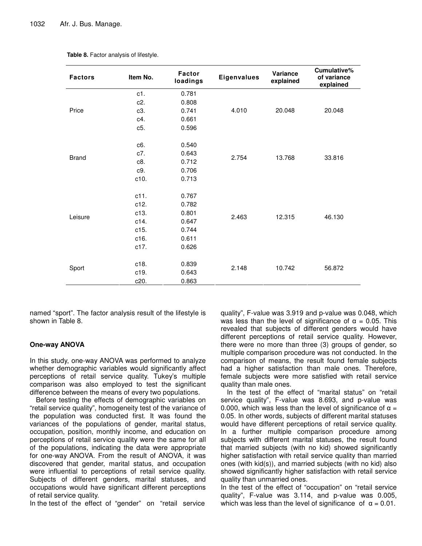| <b>Factors</b> | Item No.         | <b>Factor</b><br><b>Eigenvalues</b><br>loadings |       | Variance<br>explained | Cumulative%<br>of variance<br>explained |
|----------------|------------------|-------------------------------------------------|-------|-----------------------|-----------------------------------------|
|                | c1.              | 0.781                                           |       |                       |                                         |
|                | c2.              | 0.808                                           |       |                       |                                         |
| Price          | c3.              | 0.741                                           | 4.010 | 20.048                | 20.048                                  |
|                | c4.              | 0.661                                           |       |                       |                                         |
|                | c5.              | 0.596                                           |       |                       |                                         |
|                | c <sub>6</sub> . | 0.540                                           |       |                       |                                         |
| <b>Brand</b>   | c7.              | 0.643                                           |       |                       |                                         |
|                | c8.              | 0.712                                           | 2.754 | 13.768                | 33.816                                  |
|                | c9.              | 0.706                                           |       |                       |                                         |
|                | c10.             | 0.713                                           |       |                       |                                         |
|                | c11.             | 0.767                                           |       |                       |                                         |
|                | c12.             | 0.782                                           |       |                       |                                         |
|                | c13.             | 0.801                                           |       |                       |                                         |
| Leisure        | c14.             | 0.647                                           | 2.463 | 12.315                | 46.130                                  |
|                | c15.             | 0.744                                           |       |                       |                                         |
|                | c16.             | 0.611                                           |       |                       |                                         |
|                | c17.             | 0.626                                           |       |                       |                                         |
|                | c18.             | 0.839                                           |       |                       |                                         |
| Sport          | c19.             | 0.643                                           | 2.148 | 10.742                | 56.872                                  |
|                | c20.             | 0.863                                           |       |                       |                                         |

**Table 8.** Factor analysis of lifestyle.

named "sport". The factor analysis result of the lifestyle is shown in Table 8.

## **One-way ANOVA**

In this study, one-way ANOVA was performed to analyze whether demographic variables would significantly affect perceptions of retail service quality. Tukey's multiple comparison was also employed to test the significant difference between the means of every two populations.

Before testing the effects of demographic variables on "retail service quality", homogeneity test of the variance of the population was conducted first. It was found the variances of the populations of gender, marital status, occupation, position, monthly income, and education on perceptions of retail service quality were the same for all of the populations, indicating the data were appropriate for one-way ANOVA. From the result of ANOVA, it was discovered that gender, marital status, and occupation were influential to perceptions of retail service quality. Subjects of different genders, marital statuses, and occupations would have significant different perceptions of retail service quality.

In the test of the effect of "gender" on "retail service

quality", F-value was 3.919 and p-value was 0.048, which was less than the level of significance of  $\alpha = 0.05$ . This revealed that subjects of different genders would have different perceptions of retail service quality. However, there were no more than three (3) groups of gender, so multiple comparison procedure was not conducted. In the comparison of means, the result found female subjects had a higher satisfaction than male ones. Therefore, female subjects were more satisfied with retail service quality than male ones.

In the test of the effect of "marital status" on "retail service quality", F-value was 8.693, and p-value was 0.000, which was less than the level of significance of  $\alpha =$ 0.05. In other words, subjects of different marital statuses would have different perceptions of retail service quality. In a further multiple comparison procedure among subjects with different marital statuses, the result found that married subjects (with no kid) showed significantly higher satisfaction with retail service quality than married ones (with kid(s)), and married subjects (with no kid) also showed significantly higher satisfaction with retail service quality than unmarried ones.

In the test of the effect of "occupation" on "retail service quality", F-value was 3.114, and p-value was 0.005, which was less than the level of significance of  $\alpha = 0.01$ .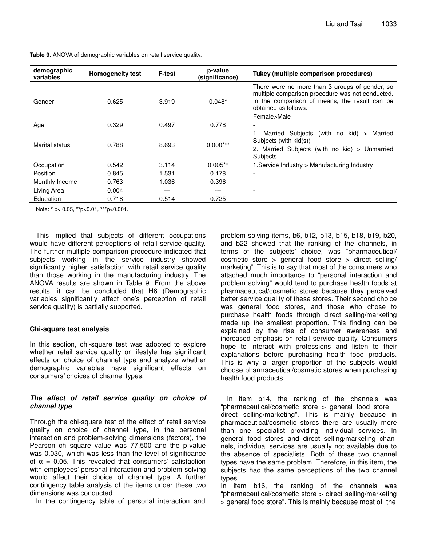| demographic<br>variables | <b>Homogeneity test</b> | <b>F-test</b> | p-value<br>(significance) | Tukey (multiple comparison procedures)                                                                                                                                                     |
|--------------------------|-------------------------|---------------|---------------------------|--------------------------------------------------------------------------------------------------------------------------------------------------------------------------------------------|
| Gender                   | 0.625                   | 3.919         | $0.048*$                  | There were no more than 3 groups of gender, so<br>multiple comparison procedure was not conducted.<br>In the comparison of means, the result can be<br>obtained as follows.<br>Female>Male |
| Age                      | 0.329                   | 0.497         | 0.778                     |                                                                                                                                                                                            |
| Marital status           | 0.788                   | 8.693         | $0.000***$                | Married Subjects<br>(with no kid) $>$<br>Married<br>Subjects (with kid(s))<br>2. Married Subjects (with no kid) > Unmarried<br>Subjects                                                    |
| Occupation               | 0.542                   | 3.114         | $0.005**$                 | 1. Service Industry > Manufacturing Industry                                                                                                                                               |
| Position                 | 0.845                   | 1.531         | 0.178                     |                                                                                                                                                                                            |
| Monthly Income           | 0.763                   | 1.036         | 0.396                     |                                                                                                                                                                                            |
| Living Area              | 0.004                   | ---           | ---                       |                                                                                                                                                                                            |
| Education                | 0.718                   | 0.514         | 0.725                     |                                                                                                                                                                                            |

**Table 9.** ANOVA of demographic variables on retail service quality.

Note: \* p< 0.05, \*\*p<0.01, \*\*\*p<0.001.

This implied that subjects of different occupations would have different perceptions of retail service quality. The further multiple comparison procedure indicated that subjects working in the service industry showed significantly higher satisfaction with retail service quality than those working in the manufacturing industry. The ANOVA results are shown in Table 9. From the above results, it can be concluded that H6 (Demographic variables significantly affect one's perception of retail service quality) is partially supported.

## **Chi-square test analysis**

In this section, chi-square test was adopted to explore whether retail service quality or lifestyle has significant effects on choice of channel type and analyze whether demographic variables have significant effects on consumers' choices of channel types.

# *The effect of retail service quality on choice of channel type*

Through the chi-square test of the effect of retail service quality on choice of channel type, in the personal interaction and problem-solving dimensions (factors), the Pearson chi-square value was 77.500 and the p-value was 0.030, which was less than the level of significance of  $\alpha$  = 0.05. This revealed that consumers' satisfaction with employees' personal interaction and problem solving would affect their choice of channel type. A further contingency table analysis of the items under these two dimensions was conducted.

In the contingency table of personal interaction and

problem solving items, b6, b12, b13, b15, b18, b19, b20, and b22 showed that the ranking of the channels, in terms of the subjects' choice, was "pharmaceutical/ cosmetic store > general food store > direct selling/ marketing". This is to say that most of the consumers who attached much importance to "personal interaction and problem solving" would tend to purchase health foods at pharmaceutical/cosmetic stores because they perceived better service quality of these stores. Their second choice was general food stores, and those who chose to purchase health foods through direct selling/marketing made up the smallest proportion. This finding can be explained by the rise of consumer awareness and increased emphasis on retail service quality. Consumers hope to interact with professions and listen to their explanations before purchasing health food products. This is why a larger proportion of the subjects would choose pharmaceutical/cosmetic stores when purchasing health food products.

In item b14, the ranking of the channels was "pharmaceutical/cosmetic store > general food store = direct selling/marketing". This is mainly because in pharmaceutical/cosmetic stores there are usually more than one specialist providing individual services. In general food stores and direct selling/marketing channels, individual services are usually not available due to the absence of specialists. Both of these two channel types have the same problem. Therefore, in this item, the subjects had the same perceptions of the two channel types.

In item b16, the ranking of the channels was "pharmaceutical/cosmetic store > direct selling/marketing > general food store". This is mainly because most of the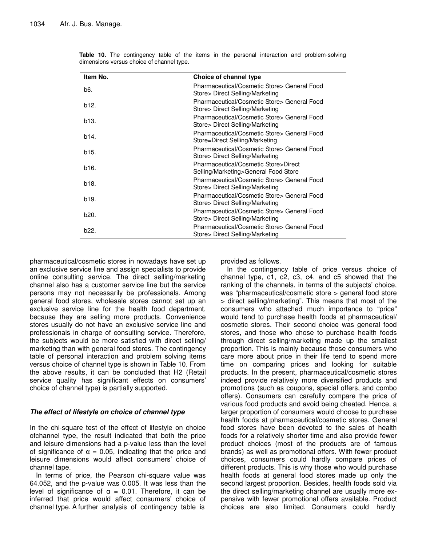| Item No. | Choice of channel type                                                         |
|----------|--------------------------------------------------------------------------------|
| b6.      | Pharmaceutical/Cosmetic Store> General Food<br>Store> Direct Selling/Marketing |
| b12.     | Pharmaceutical/Cosmetic Store> General Food<br>Store> Direct Selling/Marketing |
| b13.     | Pharmaceutical/Cosmetic Store> General Food<br>Store> Direct Selling/Marketing |
| b14.     | Pharmaceutical/Cosmetic Store> General Food<br>Store=Direct Selling/Marketing  |
| b15.     | Pharmaceutical/Cosmetic Store> General Food<br>Store> Direct Selling/Marketing |
| b16.     | Pharmaceutical/Cosmetic Store>Direct<br>Selling/Marketing>General Food Store   |
| b18.     | Pharmaceutical/Cosmetic Store> General Food<br>Store> Direct Selling/Marketing |
| b19.     | Pharmaceutical/Cosmetic Store> General Food<br>Store> Direct Selling/Marketing |
| b20.     | Pharmaceutical/Cosmetic Store> General Food<br>Store> Direct Selling/Marketing |
| b22.     | Pharmaceutical/Cosmetic Store> General Food<br>Store> Direct Selling/Marketing |

**Table 10.** The contingency table of the items in the personal interaction and problem-solving dimensions versus choice of channel type.

pharmaceutical/cosmetic stores in nowadays have set up an exclusive service line and assign specialists to provide online consulting service. The direct selling/marketing channel also has a customer service line but the service persons may not necessarily be professionals. Among general food stores, wholesale stores cannot set up an exclusive service line for the health food department, because they are selling more products. Convenience stores usually do not have an exclusive service line and professionals in charge of consulting service. Therefore, the subjects would be more satisfied with direct selling/ marketing than with general food stores. The contingency table of personal interaction and problem solving items versus choice of channel type is shown in Table 10. From the above results, it can be concluded that H2 (Retail service quality has significant effects on consumers' choice of channel type) is partially supported.

# *The effect of lifestyle on choice of channel type*

In the chi-square test of the effect of lifestyle on choice ofchannel type, the result indicated that both the price and leisure dimensions had a p-value less than the level of significance of  $\alpha = 0.05$ , indicating that the price and leisure dimensions would affect consumers' choice of channel tape.

In terms of price, the Pearson chi-square value was 64.052, and the p-value was 0.005. It was less than the level of significance of  $\alpha = 0.01$ . Therefore, it can be inferred that price would affect consumers' choice of channel type. A further analysis of contingency table is

provided as follows.

In the contingency table of price versus choice of channel type, c1, c2, c3, c4, and c5 showed that the ranking of the channels, in terms of the subjects' choice, was "pharmaceutical/cosmetic store > general food store > direct selling/marketing". This means that most of the consumers who attached much importance to "price" would tend to purchase health foods at pharmaceutical/ cosmetic stores. Their second choice was general food stores, and those who chose to purchase health foods through direct selling/marketing made up the smallest proportion. This is mainly because those consumers who care more about price in their life tend to spend more time on comparing prices and looking for suitable products. In the present, pharmaceutical/cosmetic stores indeed provide relatively more diversified products and promotions (such as coupons, special offers, and combo offers). Consumers can carefully compare the price of various food products and avoid being cheated. Hence, a larger proportion of consumers would choose to purchase health foods at pharmaceutical/cosmetic stores. General food stores have been devoted to the sales of health foods for a relatively shorter time and also provide fewer product choices (most of the products are of famous brands) as well as promotional offers. With fewer product choices, consumers could hardly compare prices of different products. This is why those who would purchase health foods at general food stores made up only the second largest proportion. Besides, health foods sold via the direct selling/marketing channel are usually more expensive with fewer promotional offers available. Product choices are also limited. Consumers could hardly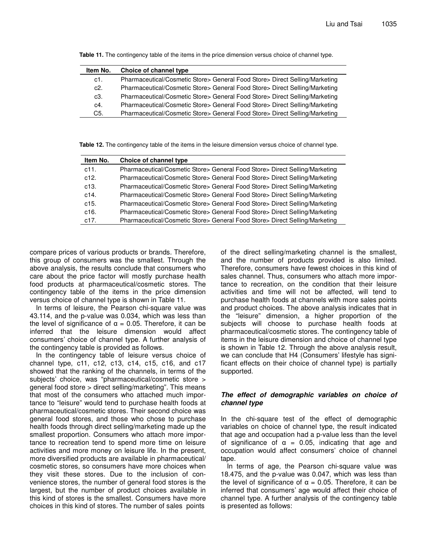| Item No. | Choice of channel type                                                      |
|----------|-----------------------------------------------------------------------------|
| c1.      | Pharmaceutical/Cosmetic Store> General Food Store> Direct Selling/Marketing |
| c2.      | Pharmaceutical/Cosmetic Store> General Food Store> Direct Selling/Marketing |
| c3.      | Pharmaceutical/Cosmetic Store> General Food Store> Direct Selling/Marketing |
| c4.      | Pharmaceutical/Cosmetic Store> General Food Store> Direct Selling/Marketing |
| C5.      | Pharmaceutical/Cosmetic Store> General Food Store> Direct Selling/Marketing |

**Table 11.** The contingency table of the items in the price dimension versus choice of channel type.

**Table 12.** The contingency table of the items in the leisure dimension versus choice of channel type.

| Item No. | Choice of channel type                                                      |
|----------|-----------------------------------------------------------------------------|
| c11.     | Pharmaceutical/Cosmetic Store> General Food Store> Direct Selling/Marketing |
| c12.     | Pharmaceutical/Cosmetic Store> General Food Store> Direct Selling/Marketing |
| c13.     | Pharmaceutical/Cosmetic Store> General Food Store> Direct Selling/Marketing |
| c14.     | Pharmaceutical/Cosmetic Store> General Food Store> Direct Selling/Marketing |
| c15.     | Pharmaceutical/Cosmetic Store> General Food Store> Direct Selling/Marketing |
| c16.     | Pharmaceutical/Cosmetic Store> General Food Store> Direct Selling/Marketing |
| c17.     | Pharmaceutical/Cosmetic Store> General Food Store> Direct Selling/Marketing |

compare prices of various products or brands. Therefore, this group of consumers was the smallest. Through the above analysis, the results conclude that consumers who care about the price factor will mostly purchase health food products at pharmaceutical/cosmetic stores. The contingency table of the items in the price dimension versus choice of channel type is shown in Table 11.

In terms of leisure, the Pearson chi-square value was 43.114, and the p-value was 0.034, which was less than the level of significance of  $\alpha = 0.05$ . Therefore, it can be inferred that the leisure dimension would affect consumers' choice of channel type. A further analysis of the contingency table is provided as follows.

In the contingency table of leisure versus choice of channel type, c11, c12, c13, c14, c15, c16, and c17 showed that the ranking of the channels, in terms of the subjects' choice, was "pharmaceutical/cosmetic store > general food store > direct selling/marketing". This means that most of the consumers who attached much importance to "leisure" would tend to purchase health foods at pharmaceutical/cosmetic stores. Their second choice was general food stores, and those who chose to purchase health foods through direct selling/marketing made up the smallest proportion. Consumers who attach more importance to recreation tend to spend more time on leisure activities and more money on leisure life. In the present, more diversified products are available in pharmaceutical/ cosmetic stores, so consumers have more choices when they visit these stores. Due to the inclusion of convenience stores, the number of general food stores is the largest, but the number of product choices available in this kind of stores is the smallest. Consumers have more choices in this kind of stores. The number of sales points

of the direct selling/marketing channel is the smallest, and the number of products provided is also limited. Therefore, consumers have fewest choices in this kind of sales channel. Thus, consumers who attach more importance to recreation, on the condition that their leisure activities and time will not be affected, will tend to purchase health foods at channels with more sales points and product choices. The above analysis indicates that in the "leisure" dimension, a higher proportion of the subjects will choose to purchase health foods at pharmaceutical/cosmetic stores. The contingency table of items in the leisure dimension and choice of channel type is shown in Table 12. Through the above analysis result, we can conclude that H4 (Consumers' lifestyle has significant effects on their choice of channel type) is partially supported.

# *The effect of demographic variables on choice of channel type*

In the chi-square test of the effect of demographic variables on choice of channel type, the result indicated that age and occupation had a p-value less than the level of significance of  $\alpha = 0.05$ , indicating that age and occupation would affect consumers' choice of channel tape.

In terms of age, the Pearson chi-square value was 18.475, and the p-value was 0.047, which was less than the level of significance of  $\alpha = 0.05$ . Therefore, it can be inferred that consumers' age would affect their choice of channel type. A further analysis of the contingency table is presented as follows: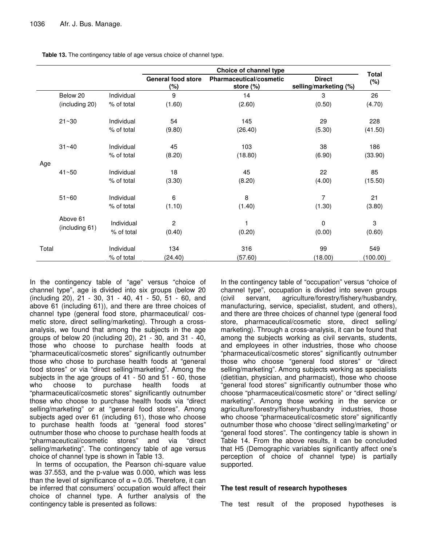| Table 13. The contingency table of age versus choice of channel type. |  |
|-----------------------------------------------------------------------|--|
|-----------------------------------------------------------------------|--|

|       |                |            | Choice of channel type               |                                         |                                        |                        |
|-------|----------------|------------|--------------------------------------|-----------------------------------------|----------------------------------------|------------------------|
|       |                |            | <b>General food store</b><br>$(\% )$ | Pharmaceutical/cosmetic<br>store $(\%)$ | <b>Direct</b><br>selling/marketing (%) | <b>Total</b><br>$(\%)$ |
|       | Below 20       | Individual | 9                                    | 14                                      | 3                                      | 26                     |
| Age   | (including 20) | % of total | (1.60)                               | (2.60)                                  | (0.50)                                 | (4.70)                 |
|       | $21 - 30$      | Individual | 54                                   | 145                                     | 29                                     | 228                    |
|       |                | % of total | (9.80)                               | (26.40)                                 | (5.30)                                 | (41.50)                |
|       | $31 - 40$      | Individual | 45                                   | 103                                     | 38                                     | 186                    |
|       |                | % of total | (8.20)                               | (18.80)                                 | (6.90)                                 | (33.90)                |
|       | $41 - 50$      | Individual | 18                                   | 45                                      | 22                                     | 85                     |
|       |                | % of total | (3.30)                               | (8.20)                                  | (4.00)                                 | (15.50)                |
|       | $51 - 60$      | Individual | 6                                    | 8                                       | 7                                      | 21                     |
|       |                | % of total | (1.10)                               | (1.40)                                  | (1.30)                                 | (3.80)                 |
|       | Above 61       | Individual | 2                                    | 1                                       | 0                                      | 3                      |
|       | (including 61) | % of total | (0.40)                               | (0.20)                                  | (0.00)                                 | (0.60)                 |
| Total |                | Individual | 134                                  | 316                                     | 99                                     | 549                    |
|       |                | % of total | (24.40)                              | (57.60)                                 | (18.00)                                | (100.00)               |

In the contingency table of "age" versus "choice of channel type", age is divided into six groups (below 20 (including 20), 21 - 30, 31 - 40, 41 - 50, 51 - 60, and above 61 (including 61)), and there are three choices of channel type (general food store, pharmaceutical/ cosmetic store, direct selling/marketing). Through a crossanalysis, we found that among the subjects in the age groups of below 20 (including 20), 21 - 30, and 31 - 40, those who choose to purchase health foods at "pharmaceutical/cosmetic stores" significantly outnumber those who chose to purchase health foods at "general food stores" or via "direct selling/marketing". Among the subjects in the age groups of 41 - 50 and 51 - 60, those who choose to purchase health foods at "pharmaceutical/cosmetic stores" significantly outnumber those who choose to purchase health foods via "direct selling/marketing" or at "general food stores". Among subjects aged over 61 (including 61), those who choose to purchase health foods at "general food stores" outnumber those who choose to purchase health foods at "pharmaceutical/cosmetic stores" and via "direct selling/marketing". The contingency table of age versus choice of channel type is shown in Table 13.

In terms of occupation, the Pearson chi-square value was 37.553, and the p-value was 0.000, which was less than the level of significance of  $\alpha = 0.05$ . Therefore, it can be inferred that consumers' occupation would affect their choice of channel type. A further analysis of the contingency table is presented as follows:

In the contingency table of "occupation" versus "choice of channel type", occupation is divided into seven groups (civil servant, agriculture/forestry/fishery/husbandry, manufacturing, service, specialist, student, and others), and there are three choices of channel type (general food store, pharmaceutical/cosmetic store, direct selling/ marketing). Through a cross-analysis, it can be found that among the subjects working as civil servants, students, and employees in other industries, those who choose "pharmaceutical/cosmetic stores" significantly outnumber those who choose "general food stores" or "direct selling/marketing". Among subjects working as specialists (dietitian, physician, and pharmacist), those who choose "general food stores" significantly outnumber those who choose "pharmaceutical/cosmetic store" or "direct selling/ marketing". Among those working in the service or agriculture/forestry/fishery/husbandry industries, those who choose "pharmaceutical/cosmetic store" significantly outnumber those who choose "direct selling/marketing" or "general food stores". The contingency table is shown in Table 14. From the above results, it can be concluded that H5 (Demographic variables significantly affect one's perception of choice of channel type) is partially supported.

## **The test result of research hypotheses**

The test result of the proposed hypotheses is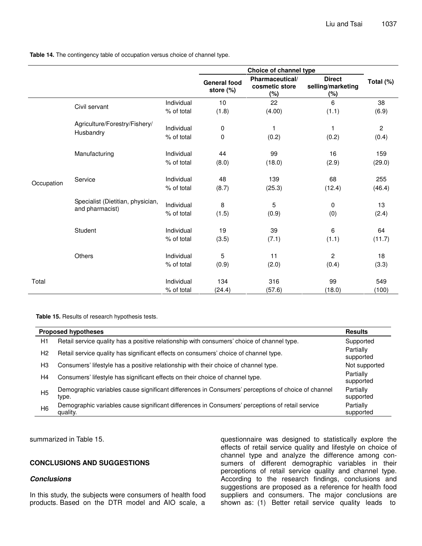**Table 14.** The contingency table of occupation versus choice of channel type.

|            |                                                      |                          | Choice of channel type           |                                          |                                           |                       |
|------------|------------------------------------------------------|--------------------------|----------------------------------|------------------------------------------|-------------------------------------------|-----------------------|
|            |                                                      |                          | <b>General food</b><br>store (%) | Pharmaceutical/<br>cosmetic store<br>(%) | <b>Direct</b><br>selling/marketing<br>(%) | Total (%)             |
|            | Civil servant                                        | Individual               | 10                               | 22                                       | 6                                         | 38                    |
|            |                                                      | % of total               | (1.8)                            | (4.00)                                   | (1.1)                                     | (6.9)                 |
|            | Agriculture/Forestry/Fishery/<br>Husbandry           | Individual<br>% of total | 0<br>0                           | 1<br>(0.2)                               | (0.2)                                     | $\mathbf{2}$<br>(0.4) |
|            | Manufacturing                                        | Individual               | 44                               | 99                                       | 16                                        | 159                   |
|            |                                                      | % of total               | (8.0)                            | (18.0)                                   | (2.9)                                     | (29.0)                |
| Occupation | Service                                              | Individual               | 48                               | 139                                      | 68                                        | 255                   |
|            |                                                      | % of total               | (8.7)                            | (25.3)                                   | (12.4)                                    | (46.4)                |
|            | Specialist (Dietitian, physician,<br>and pharmacist) | Individual<br>% of total | 8<br>(1.5)                       | $\overline{5}$<br>(0.9)                  | 0<br>(0)                                  | 13<br>(2.4)           |
|            | Student                                              | Individual               | 19                               | 39                                       | 6                                         | 64                    |
|            |                                                      | % of total               | (3.5)                            | (7.1)                                    | (1.1)                                     | (11.7)                |
|            | Others                                               | Individual               | 5                                | 11                                       | $\overline{c}$                            | 18                    |
|            |                                                      | % of total               | (0.9)                            | (2.0)                                    | (0.4)                                     | (3.3)                 |
| Total      |                                                      | Individual               | 134                              | 316                                      | 99                                        | 549                   |
|            |                                                      | % of total               | (24.4)                           | (57.6)                                   | (18.0)                                    | (100)                 |

**Table 15.** Results of research hypothesis tests.

| <b>Proposed hypotheses</b> | <b>Results</b>                                                                                              |                        |
|----------------------------|-------------------------------------------------------------------------------------------------------------|------------------------|
| H1                         | Retail service quality has a positive relationship with consumers' choice of channel type.                  | Supported              |
| H2                         | Retail service quality has significant effects on consumers' choice of channel type.                        | Partially<br>supported |
| H <sub>3</sub>             | Consumers' lifestyle has a positive relationship with their choice of channel type.                         | Not supported          |
| H4                         | Consumers' lifestyle has significant effects on their choice of channel type.                               | Partially<br>supported |
| H <sub>5</sub>             | Demographic variables cause significant differences in Consumers' perceptions of choice of channel<br>type. | Partially<br>supported |
| H <sub>6</sub>             | Demographic variables cause significant differences in Consumers' perceptions of retail service<br>quality. | Partially<br>supported |

summarized in Table 15.

# **CONCLUSIONS AND SUGGESTIONS**

#### *Conclusions*

In this study, the subjects were consumers of health food products. Based on the DTR model and AIO scale, a

questionnaire was designed to statistically explore the effects of retail service quality and lifestyle on choice of channel type and analyze the difference among consumers of different demographic variables in their perceptions of retail service quality and channel type. According to the research findings, conclusions and suggestions are proposed as a reference for health food suppliers and consumers. The major conclusions are shown as: (1) Better retail service quality leads to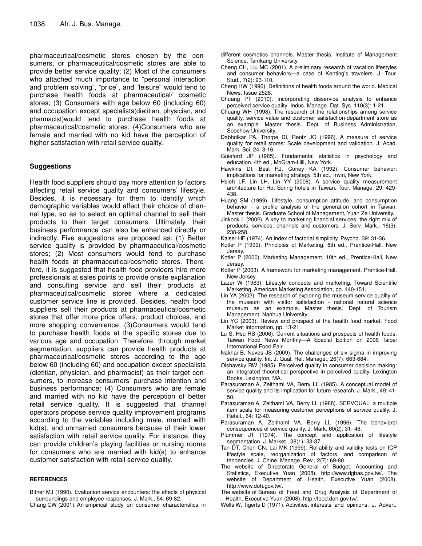pharmaceutical/cosmetic stores chosen by the consumers, or pharmaceutical/cosmetic stores are able to provide better service quality; (2) Most of the consumers who attached much importance to "personal interaction and problem solving", "price", and "leisure" would tend to purchase health foods at pharmaceutical/ cosmetic stores; (3) Consumers with age below 60 (including 60) and occupation except specialists(dietitian, physician, and pharmacist)would tend to purchase health foods at pharmaceutical/cosmetic stores; (4)Consumers who are female and married with no kid have the perception of higher satisfaction with retail service quality.

## **Suggestions**

Health food suppliers should pay more attention to factors affecting retail service quality and consumers' lifestyle. Besides, it is necessary for them to identify which demographic variables would affect their choice of channel type, so as to select an optimal channel to sell their products to their target consumers. Ultimately, their business performance can also be enhanced directly or indirectly. Five suggestions are proposed as: (1) Better service quality is provided by pharmaceutical/cosmetic stores; (2) Most consumers would tend to purchase health foods at pharmaceutical/cosmetic stores. Therefore, it is suggested that health food providers hire more professionals at sales points to provide onsite explanation and consulting service and sell their products at pharmaceutical/cosmetic stores where a dedicated customer service line is provided. Besides, health food suppliers sell their products at pharmaceutical/cosmetic stores that offer more price offers, product choices, and more shopping convenience; (3)Consumers would tend to purchase health foods at the specific stores due to various age and occupation. Therefore, through market segmentation, suppliers can provide health products at pharmaceutical/cosmetic stores according to the age below 60 (including 60) and occupation except specialists (dietitian, physician, and pharmacist) as their target consumers, to increase consumers' purchase intention and business performance; (4) Consumers who are female and married with no kid have the perception of better retail service quality. It is suggested that channel operators propose service quality improvement programs according to the variables including male, married with kid(s), and unmarried consumers because of their lower satisfaction with retail service quality. For instance, they can provide children's playing facilities or nursing rooms for consumers who are married with kid(s) to enhance customer satisfaction with retail service quality.

#### **REFERENCES**

Bitner MJ (1990). Evaluation service encounters: the effects of physical surroundings and employee responses. J. Mark., 54: 69-82. Chang CW (2001). An empirical study on consumer characteristics in

- different cosmetics channels. Master thesis. Institute of Management Science, Tamkang University.
- Cheng CH, Liu MC (2001). A preliminary research of vacation lifestyles and consumer behaviors—a case of Kenting's travelers. J. Tour. Stud., 7(2): 93-110.
- Cheng HW (1996). Definitions of health foods around the world. Medical News. Issue 2528.
- Chuang PT (2010). Incorporating disservice analysis to enhance perceived service quality. Indus. Manage. Dat. Sys. 110(3): 1-21.
- Chuang WH (1998). The research of the relationships among service quality, service value and customer satisfaction-department store as an example. Master thesis. Dept. of Business Administration, Soochow University.
- Dabholkar PA, Thorpe DI, Rentz JO (1996). A measure of service quality for retail stores: Scale development and validation. J. Acad. Mark. Sci. 24: 3-16.
- Guieford JP (1965). Fundamental statistics in psychology and education. 4th ed., McGram-Hill, New York.
- Hawkins DI, Best RJ, Coney KA (1992). Consumer behavior: implications for marketing strategy. 5th ed., Irwin, New York.
- Hsieh LF, Lin LH, Lin YY (2008). A service quality measurement architecture for Hot Spring hotels in Taiwan. Tour. Manage. 29: 429- 438.
- Huang SM (1999). Lifestyle, consumption attitude, and consumption behavior - a profile analysis of the generation cohort in Taiwan. Master thesis. Graduate School of Management, Yuan Ze University.
- Jinkook L (2002). A key to marketing financial services: the right mix of products, services, channels and customers. J. Serv. Mark., 16(3): 238-258.
- Kaiser HF (1974). An index of factorial simplicity. Psycho. 39: 31-36.
- Kotler P (1999). Principles of Marketing. 8th ed., Prentice-Hall, New Jersey.
- Kotler P (2000). Marketing Management. 10th ed., Prentice-Hall, New Jersey.
- Kotler P (2003). A framework for marketing management. Prentice-Hall, New Jersey.
- Lazer W (1963). Lifestyle concepts and marketing. Toward Scientific Marketing, American Marketing Association, pp. 140-151.
- Lin YA (2002). The research of exploring the museum service quality of the museum with visitor satisfaction - national natural science museum as an example. Master thesis. Dept. of Tourism Management, Nanhua University.
- Lin YC (2003). Review and prospect of the health food market. Food Market Information, pp. 13-21.
- Lu S, Hsu RS (2006). Current situations and prospects of health foods. Taiwan Food News Monthly*—*A Special Edition on 2006 Taipei International Food Fair.
- Nakhai B, Neves JS (2009). The challenges of six sigma in improving service quality. Int. J. Qual. Rel. Manage., 26(7): 663-684.
- Olshavsky RW (1985). Perceived quality in consumer decision making: an integrated theoretical perspective in perceived quality. Lexington Books, Lexington, MA.
- Parasuraman A, Zeithaml VA, Berry LL (1985). A conceptual model of service quality and its implication for future research. J. Mark., 49: 41- 50.
- Parasuraman A, Zeithaml VA, Berry LL (1988). SERVQUAL: a multiple item scale for measuring customer perceptions of service quality. J. Retail., 64: 12-40.
- Parasuraman A, Zeithaml VA, Berry LL (1996). The behavioral consequences of service quality. J. Mark. 60(2): 31- 46.
- Plummer JT (1974). The concept and application of lifestyle segmentation. J. Market., 38(1): 33-37.
- Tan DT, Chen CN, Lai MK (1999). Reliability and validity tests on ICP lifestyle scale, reorganization of factors, and comparison of tendencies. J. Chine. Manage. Rev., 2(7): 69-80.
- The website of Directorate General of Budget, Accounting and Statistics, Executive Yuan (2008), http://www.dgbas.gov.tw/. The website of Department of Health, Executive Yuan (2008), http://www.doh.gov.tw/.
- The website of Bureau of Food and Drug Analysis of Department of Health, Executive Yuan (2008), http://food.doh.gov.tw/.
- Wells W, Tigerts D (1971). Activities, interests and opinions. J. Advert.